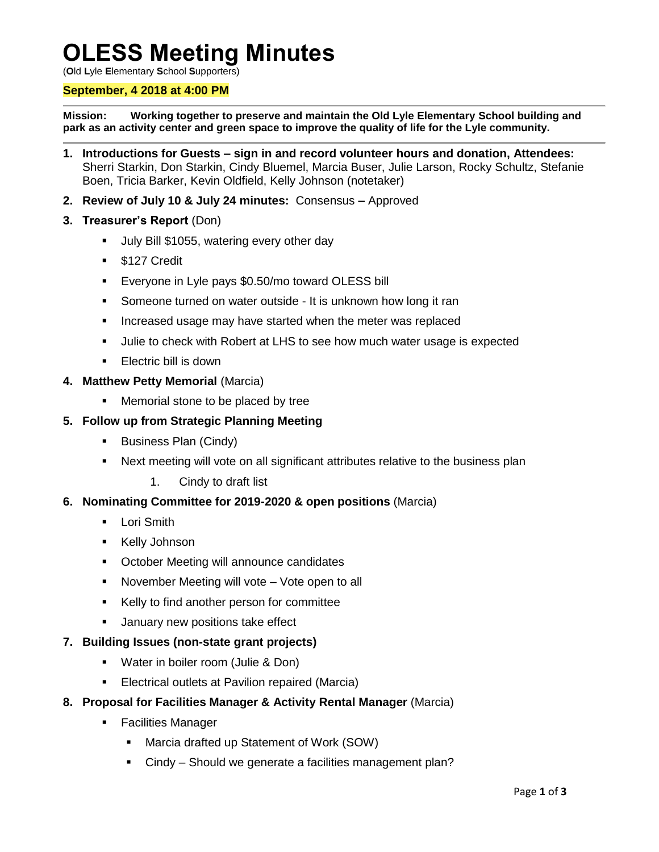# **OLESS Meeting Minutes**

(**O**ld **L**yle **E**lementary **S**chool **S**upporters)

## **September, 4 2018 at 4:00 PM**

**Mission: Working together to preserve and maintain the Old Lyle Elementary School building and park as an activity center and green space to improve the quality of life for the Lyle community.**

- **1. Introductions for Guests – sign in and record volunteer hours and donation, Attendees:**  Sherri Starkin, Don Starkin, Cindy Bluemel, Marcia Buser, Julie Larson, Rocky Schultz, Stefanie Boen, Tricia Barker, Kevin Oldfield, Kelly Johnson (notetaker)
- **2. Review of July 10 & July 24 minutes:** Consensus **–** Approved
- **3. Treasurer's Report** (Don)
	- Ully Bill \$1055, watering every other day
	- **S127 Credit**
	- **Exeryone in Lyle pays \$0.50/mo toward OLESS bill**
	- Someone turned on water outside It is unknown how long it ran
	- **If** Increased usage may have started when the meter was replaced
	- Julie to check with Robert at LHS to see how much water usage is expected
	- **Electric bill is down**
- **4. Matthew Petty Memorial** (Marcia)
	- **Memorial stone to be placed by tree**

## **5. Follow up from Strategic Planning Meeting**

- **Business Plan (Cindy)**
- Next meeting will vote on all significant attributes relative to the business plan
	- 1. Cindy to draft list

## **6. Nominating Committee for 2019-2020 & open positions** (Marcia)

- **Lori Smith**
- **Kelly Johnson**
- **October Meeting will announce candidates**
- **November Meeting will vote Vote open to all**
- Kelly to find another person for committee
- January new positions take effect

## **7. Building Issues (non-state grant projects)**

- Water in boiler room (Julie & Don)
- **Electrical outlets at Pavilion repaired (Marcia)**

## **8. Proposal for Facilities Manager & Activity Rental Manager** (Marcia)

- **Facilities Manager** 
	- Marcia drafted up Statement of Work (SOW)
	- Cindy Should we generate a facilities management plan?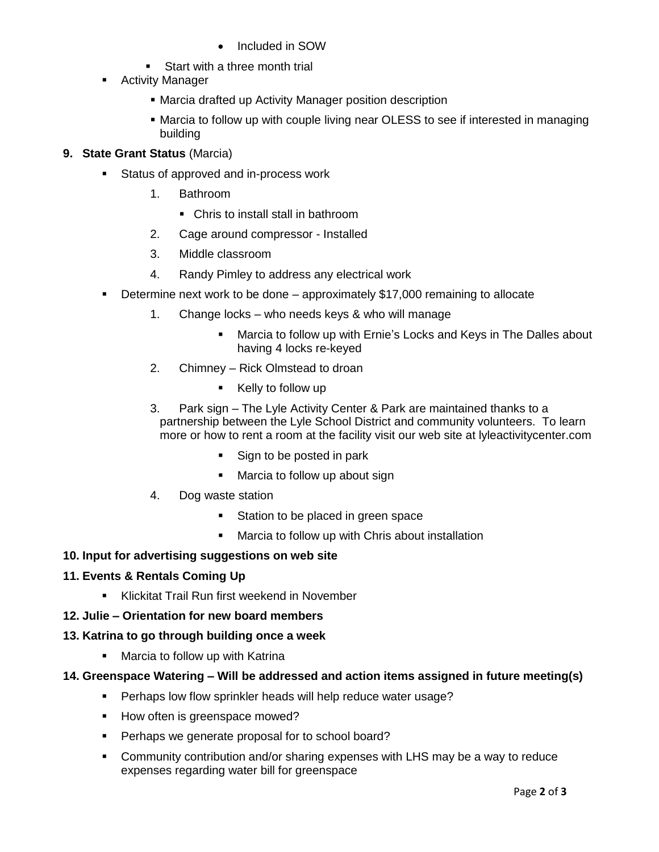- Included in SOW
- **Start with a three month trial**
- **Activity Manager** 
	- Marcia drafted up Activity Manager position description
	- Marcia to follow up with couple living near OLESS to see if interested in managing building

## **9. State Grant Status** (Marcia)

- Status of approved and in-process work
	- 1. Bathroom
		- Chris to install stall in bathroom
	- 2. Cage around compressor Installed
	- 3. Middle classroom
	- 4. Randy Pimley to address any electrical work
- Determine next work to be done approximately \$17,000 remaining to allocate
	- 1. Change locks who needs keys & who will manage
		- Marcia to follow up with Ernie's Locks and Keys in The Dalles about having 4 locks re-keyed
	- 2. Chimney Rick Olmstead to droan
		- Kelly to follow up
	- 3. Park sign The Lyle Activity Center & Park are maintained thanks to a partnership between the Lyle School District and community volunteers. To learn more or how to rent a room at the facility visit our web site at lyleactivitycenter.com
		- Sign to be posted in park
		- Marcia to follow up about sign
	- 4. Dog waste station
		- Station to be placed in green space
		- Marcia to follow up with Chris about installation

## **10. Input for advertising suggestions on web site**

## **11. Events & Rentals Coming Up**

- **Klickitat Trail Run first weekend in November**
- **12. Julie – Orientation for new board members**

## **13. Katrina to go through building once a week**

- **Marcia to follow up with Katrina**
- **14. Greenspace Watering – Will be addressed and action items assigned in future meeting(s)**
	- Perhaps low flow sprinkler heads will help reduce water usage?
	- How often is greenspace mowed?
	- **Perhaps we generate proposal for to school board?**
	- Community contribution and/or sharing expenses with LHS may be a way to reduce expenses regarding water bill for greenspace